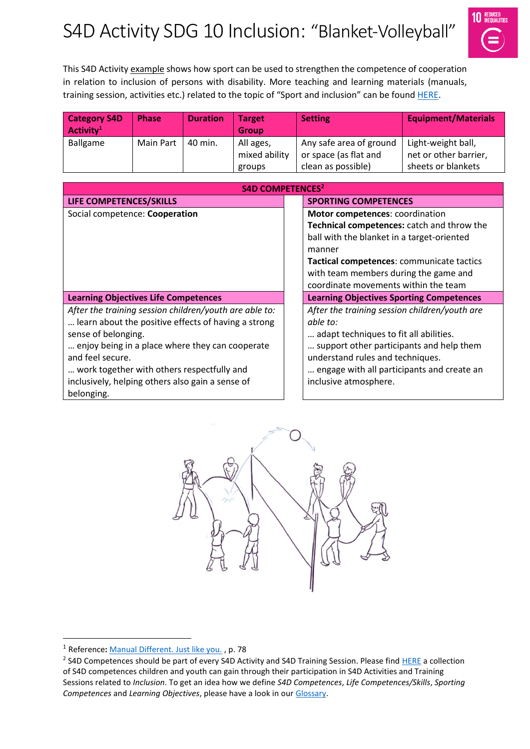# S4D Activity SDG 10 Inclusion: "Blanket-Volleyball"



This S4D Activity example shows how sport can be used to strengthen the competence of cooperation in relation to inclusion of persons with disability. More teaching and learning materials (manuals, training session, activities etc.) related to the topic of "Sport and inclusion" can be found [HERE.](https://www.sport-for-development.com/topic-collection?id=19#cat19)

| <b>Category S4D</b><br>Activity <sup>1</sup> | <b>Phase</b> | <b>Duration</b> | <b>Target</b><br><b>Group</b> | <b>Setting</b>          | <b>Equipment/Materials</b> |
|----------------------------------------------|--------------|-----------------|-------------------------------|-------------------------|----------------------------|
| Ballgame                                     | Main Part    | 40 min.         | All ages,                     | Any safe area of ground | Light-weight ball,         |
|                                              |              |                 | mixed ability                 | or space (as flat and   | net or other barrier,      |
|                                              |              |                 | groups                        | clean as possible)      | sheets or blankets         |

| S4D COMPETENCES <sup>2</sup>                           |                                                 |  |  |  |  |
|--------------------------------------------------------|-------------------------------------------------|--|--|--|--|
| LIFE COMPETENCES/SKILLS                                | <b>SPORTING COMPETENCES</b>                     |  |  |  |  |
| Social competence: Cooperation                         | Motor competences: coordination                 |  |  |  |  |
|                                                        | Technical competences: catch and throw the      |  |  |  |  |
|                                                        | ball with the blanket in a target-oriented      |  |  |  |  |
|                                                        | manner                                          |  |  |  |  |
|                                                        | Tactical competences: communicate tactics       |  |  |  |  |
|                                                        | with team members during the game and           |  |  |  |  |
|                                                        | coordinate movements within the team            |  |  |  |  |
| <b>Learning Objectives Life Competences</b>            | <b>Learning Objectives Sporting Competences</b> |  |  |  |  |
| After the training session children/youth are able to: | After the training session children/youth are   |  |  |  |  |
| learn about the positive effects of having a strong    | able to:                                        |  |  |  |  |
| sense of belonging.                                    | adapt techniques to fit all abilities.          |  |  |  |  |
| enjoy being in a place where they can cooperate        | support other participants and help them        |  |  |  |  |
| and feel secure.                                       | understand rules and techniques.                |  |  |  |  |
| work together with others respectfully and             | engage with all participants and create an      |  |  |  |  |
| inclusively, helping others also gain a sense of       | inclusive atmosphere.                           |  |  |  |  |
| belonging.                                             |                                                 |  |  |  |  |



 $\overline{a}$ 

<sup>1</sup> Reference**:** [Manual Different. Just like you.](https://www.icsspe.org/sites/default/files/Different.%20Just%20like%20you.pdf) , p. 78

<sup>&</sup>lt;sup>2</sup> S4D Competences should be part of every S4D Activity and S4D Training Session. Please fin[d HERE](https://www.sport-for-development.com/imglib/downloads/Kompetenzen%20&%20IIFs/Competences%20Children%20&%20Youth%20FRENCH/ENGLISH/giz-dshs2022-en-sdg10-competences-children-and-youth-social-cohesion-and-inclusion.pdf) a collection of S4D competences children and youth can gain through their participation in S4D Activities and Training Sessions related to *Inclusion*. To get an idea how we define *S4D Competences*, *Life Competences/Skills*, *Sporting Competences* and *Learning Objectives*, please have a look in our [Glossary.](https://www.sport-for-development.com/imglib/downloads/Guidelines/giz-dshs2020-en-s4d-toolkit-glossary.pdf)